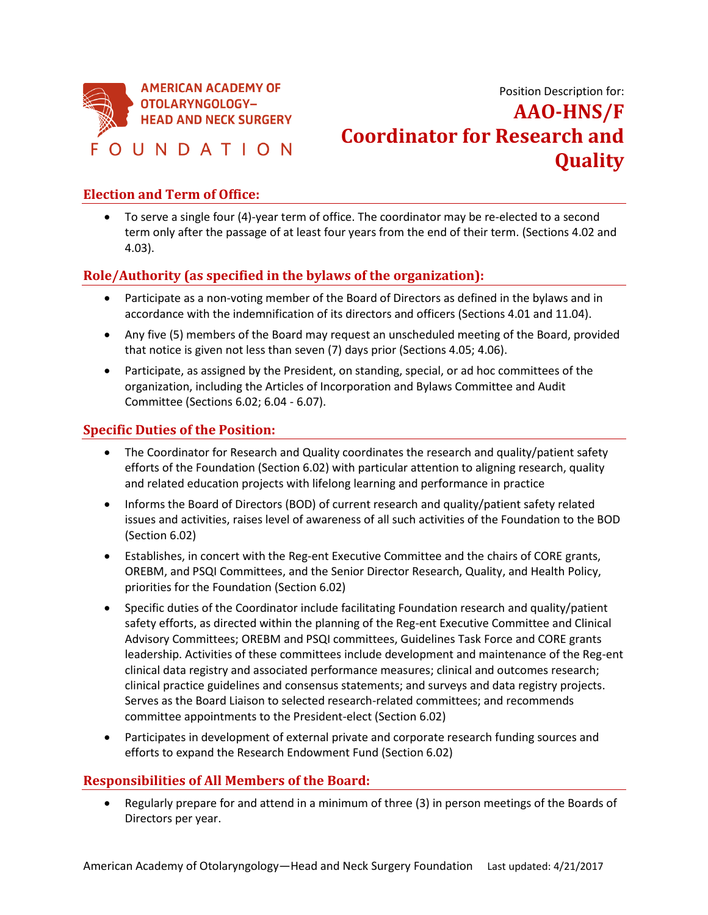

Position Description for: **AAO-HNS/F Coordinator for Research and Quality**

## **Election and Term of Office:**

• To serve a single four (4)-year term of office. The coordinator may be re-elected to a second term only after the passage of at least four years from the end of their term. (Sections 4.02 and 4.03).

# **Role/Authority (as specified in the bylaws of the organization):**

- Participate as a non-voting member of the Board of Directors as defined in the bylaws and in accordance with the indemnification of its directors and officers (Sections 4.01 and 11.04).
- Any five (5) members of the Board may request an unscheduled meeting of the Board, provided that notice is given not less than seven (7) days prior (Sections 4.05; 4.06).
- Participate, as assigned by the President, on standing, special, or ad hoc committees of the organization, including the Articles of Incorporation and Bylaws Committee and Audit Committee (Sections 6.02; 6.04 - 6.07).

### **Specific Duties of the Position:**

- The Coordinator for Research and Quality coordinates the research and quality/patient safety efforts of the Foundation (Section 6.02) with particular attention to aligning research, quality and related education projects with lifelong learning and performance in practice
- Informs the Board of Directors (BOD) of current research and quality/patient safety related issues and activities, raises level of awareness of all such activities of the Foundation to the BOD (Section 6.02)
- Establishes, in concert with the Reg-ent Executive Committee and the chairs of CORE grants, OREBM, and PSQI Committees, and the Senior Director Research, Quality, and Health Policy, priorities for the Foundation (Section 6.02)
- Specific duties of the Coordinator include facilitating Foundation research and quality/patient safety efforts, as directed within the planning of the Reg-ent Executive Committee and Clinical Advisory Committees; OREBM and PSQI committees, Guidelines Task Force and CORE grants leadership. Activities of these committees include development and maintenance of the Reg-ent clinical data registry and associated performance measures; clinical and outcomes research; clinical practice guidelines and consensus statements; and surveys and data registry projects. Serves as the Board Liaison to selected research-related committees; and recommends committee appointments to the President-elect (Section 6.02)
- Participates in development of external private and corporate research funding sources and efforts to expand the Research Endowment Fund (Section 6.02)

### **Responsibilities of All Members of the Board:**

• Regularly prepare for and attend in a minimum of three (3) in person meetings of the Boards of Directors per year.